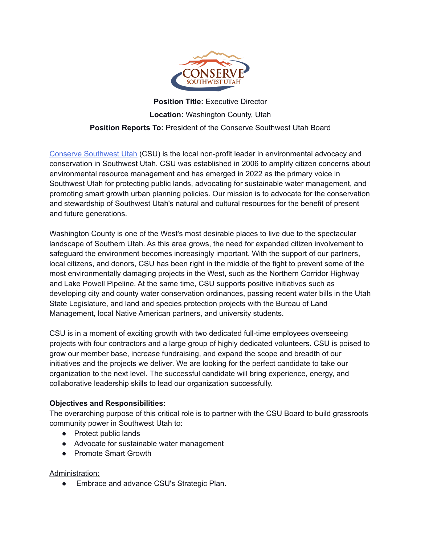

# **Position Title:** Executive Director **Location:** Washington County, Utah **Position Reports To:** President of the Conserve Southwest Utah Board

Conserve [Southwest](https://conserveswu.org/) Utah (CSU) is the local non-profit leader in environmental advocacy and conservation in Southwest Utah. CSU was established in 2006 to amplify citizen concerns about environmental resource management and has emerged in 2022 as the primary voice in Southwest Utah for protecting public lands, advocating for sustainable water management, and promoting smart growth urban planning policies. Our mission is to advocate for the conservation and stewardship of Southwest Utah's natural and cultural resources for the benefit of present and future generations.

Washington County is one of the West's most desirable places to live due to the spectacular landscape of Southern Utah. As this area grows, the need for expanded citizen involvement to safeguard the environment becomes increasingly important. With the support of our partners, local citizens, and donors, CSU has been right in the middle of the fight to prevent some of the most environmentally damaging projects in the West, such as the Northern Corridor Highway and Lake Powell Pipeline. At the same time, CSU supports positive initiatives such as developing city and county water conservation ordinances, passing recent water bills in the Utah State Legislature, and land and species protection projects with the Bureau of Land Management, local Native American partners, and university students.

CSU is in a moment of exciting growth with two dedicated full-time employees overseeing projects with four contractors and a large group of highly dedicated volunteers. CSU is poised to grow our member base, increase fundraising, and expand the scope and breadth of our initiatives and the projects we deliver. We are looking for the perfect candidate to take our organization to the next level. The successful candidate will bring experience, energy, and collaborative leadership skills to lead our organization successfully.

#### **Objectives and Responsibilities:**

The overarching purpose of this critical role is to partner with the CSU Board to build grassroots community power in Southwest Utah to:

- Protect public lands
- Advocate for sustainable water management
- Promote Smart Growth

#### Administration:

Embrace and advance CSU's Strategic Plan.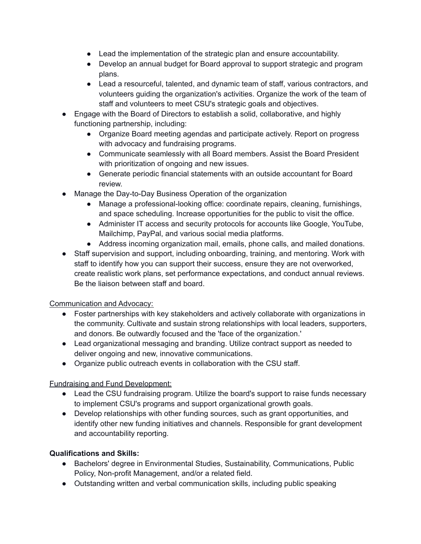- Lead the implementation of the strategic plan and ensure accountability.
- Develop an annual budget for Board approval to support strategic and program plans.
- Lead a resourceful, talented, and dynamic team of staff, various contractors, and volunteers guiding the organization's activities. Organize the work of the team of staff and volunteers to meet CSU's strategic goals and objectives.
- Engage with the Board of Directors to establish a solid, collaborative, and highly functioning partnership, including:
	- Organize Board meeting agendas and participate actively. Report on progress with advocacy and fundraising programs.
	- Communicate seamlessly with all Board members. Assist the Board President with prioritization of ongoing and new issues.
	- Generate periodic financial statements with an outside accountant for Board review.
- Manage the Day-to-Day Business Operation of the organization
	- Manage a professional-looking office: coordinate repairs, cleaning, furnishings, and space scheduling. Increase opportunities for the public to visit the office.
	- Administer IT access and security protocols for accounts like Google, YouTube, Mailchimp, PayPal, and various social media platforms.
	- Address incoming organization mail, emails, phone calls, and mailed donations.
- Staff supervision and support, including onboarding, training, and mentoring. Work with staff to identify how you can support their success, ensure they are not overworked, create realistic work plans, set performance expectations, and conduct annual reviews. Be the liaison between staff and board.

## Communication and Advocacy:

- Foster partnerships with key stakeholders and actively collaborate with organizations in the community. Cultivate and sustain strong relationships with local leaders, supporters, and donors. Be outwardly focused and the 'face of the organization.'
- Lead organizational messaging and branding. Utilize contract support as needed to deliver ongoing and new, innovative communications.
- Organize public outreach events in collaboration with the CSU staff.

## Fundraising and Fund Development:

- Lead the CSU fundraising program. Utilize the board's support to raise funds necessary to implement CSU's programs and support organizational growth goals.
- Develop relationships with other funding sources, such as grant opportunities, and identify other new funding initiatives and channels. Responsible for grant development and accountability reporting.

#### **Qualifications and Skills:**

- Bachelors' degree in Environmental Studies, Sustainability, Communications, Public Policy, Non-profit Management, and/or a related field.
- Outstanding written and verbal communication skills, including public speaking